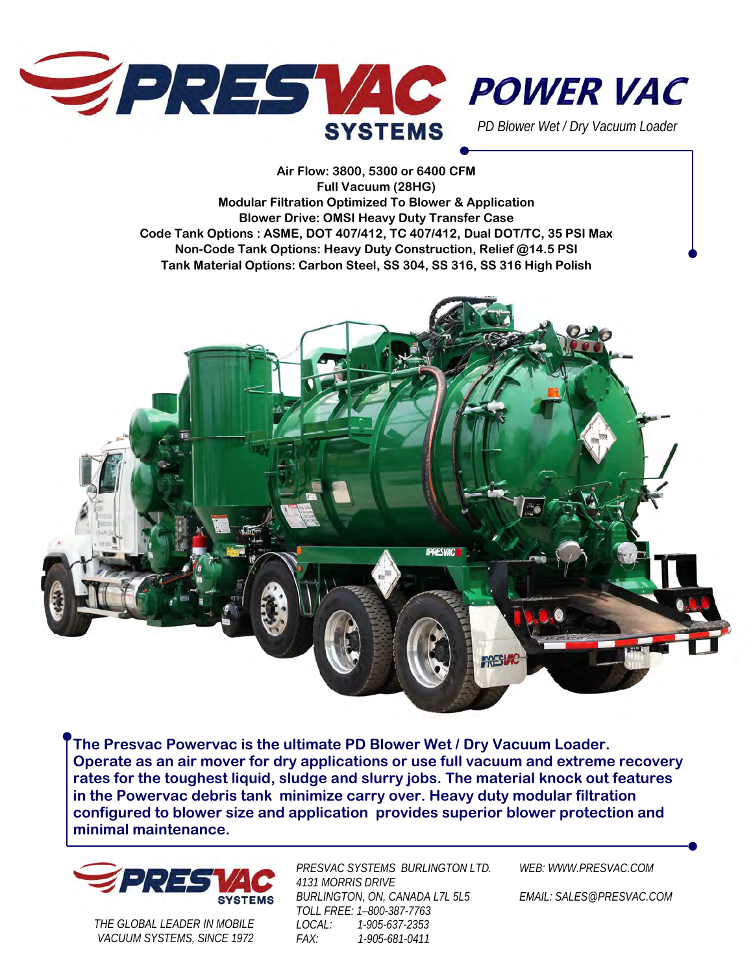



*PD Blower Wet / Dry Vacuum Loader* 

**Air Flow: 3800, 5300 or 6400 CFM Full Vacuum (28HG) Modular Filtration Optimized To Blower & Application Blower Drive: OMSI Heavy Duty Transfer Case Code Tank Options : ASME, DOT 407/412, TC 407/412, Dual DOT/TC, 35 PSI Max Non-Code Tank Options: Heavy Duty Construction, Relief @14.5 PSI Tank Material Options: Carbon Steel, SS 304, SS 316, SS 316 High Polish** 



**The Presvac Powervac is the ultimate PD Blower Wet / Dry Vacuum Loader. Operate as an air mover for dry applications or use full vacuum and extreme recovery rates for the toughest liquid, sludge and slurry jobs. The material knock out features in the Powervac debris tank minimize carry over. Heavy duty modular filtration configured to blower size and application provides superior blower protection and minimal maintenance.** 



*THE GLOBAL LEADER IN MOBILE VACUUM SYSTEMS, SINCE 1972*  *PRESVAC SYSTEMS BURLINGTON LTD. 4131 MORRIS DRIVE BURLINGTON, ON, CANADA L7L 5L5 TOLL FREE: 1–800-387-7763 LOCAL: 1-905-637-2353 FAX: 1-905-681-0411* 

*WEB: WWW.PRESVAC.COM* 

*EMAIL: SALES@PRESVAC.COM*